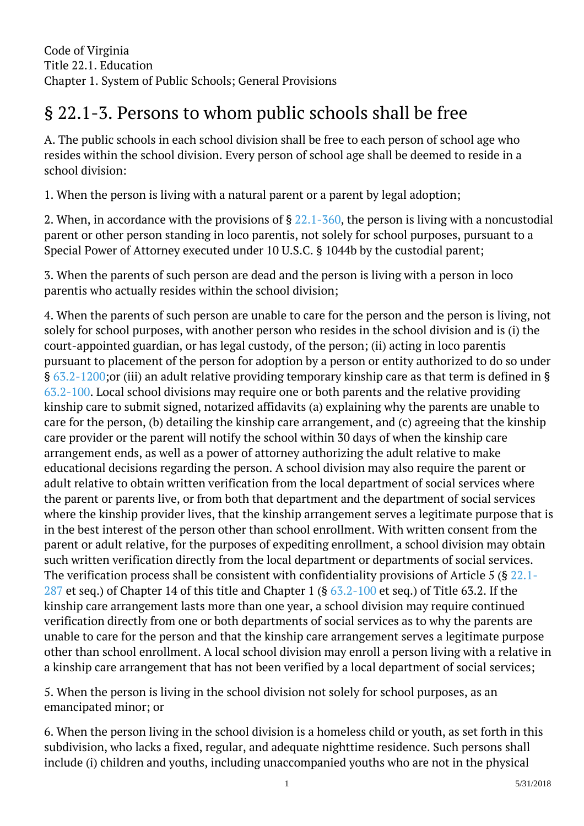## § 22.1-3. Persons to whom public schools shall be free j

A. The public schools in each school division shall be free to each person of school age who resides within the school division. Every person of school age shall be deemed to reside in a school division:

1. When the person is living with a natural parent or a parent by legal adoption;

2. When, in accordance with the provisions of § [22.1-360](http://law.lis.virginia.gov/vacode/22.1-360/), the person is living with a noncustodial parent or other person standing in loco parentis, not solely for school purposes, pursuant to a Special Power of Attorney executed under 10 U.S.C. § 1044b by the custodial parent; I

3. When the parents of such person are dead and the person is living with a person in loco parentis who actually resides within the school division; <sup>"</sup>

4. When the parents of such person are unable to care for the person and the person is living, not solely for school purposes, with another person who resides in the school division and is (i) the court-appointed guardian, or has legal custody, of the person; (ii) acting in loco parentis pursuant to placement of the person for adoption by a person or entity authorized to do so under § [63.2-1200;](http://law.lis.virginia.gov/vacode/63.2-1200/)or (iii) an adult relative providing temporary kinship care as that term is defined in § [63.2-100.](http://law.lis.virginia.gov/vacode/63.2-100/) Local school divisions may require one or both parents and the relative providing kinship care to submit signed, notarized affidavits (a) explaining why the parents are unable to care for the person, (b) detailing the kinship care arrangement, and (c) agreeing that the kinship care provider or the parent will notify the school within 30 days of when the kinship care arrangement ends, as well as a power of attorney authorizing the adult relative to make educational decisions regarding the person. A school division may also require the parent or adult relative to obtain written verification from the local department of social services where the parent or parents live, or from both that department and the department of social services where the kinship provider lives, that the kinship arrangement serves a legitimate purpose that is in the best interest of the person other than school enrollment. With written consent from the parent or adult relative, for the purposes of expediting enrollment, a school division may obtain such written verification directly from the local department or departments of social services. The verification process shall be consistent with confidentiality provisions of Article 5 (§ [22.1-](http://law.lis.virginia.gov/vacode/22.1-287/) [287](http://law.lis.virginia.gov/vacode/22.1-287/) et seq.) of Chapter 14 of this title and Chapter 1 (§ [63.2-100](http://law.lis.virginia.gov/vacode/63.2-100/) et seq.) of Title 63.2. If the kinship care arrangement lasts more than one year, a school division may require continued verification directly from one or both departments of social services as to why the parents are unable to care for the person and that the kinship care arrangement serves a legitimate purpose other than school enrollment. A local school division may enroll a person living with a relative in a kinship care arrangement that has not been verified by a local department of social services; Ĩ

5. When the person is living in the school division not solely for school purposes, as an emancipated minor; or

6. When the person living in the school division is a homeless child or youth, as set forth in this subdivision, who lacks a fixed, regular, and adequate nighttime residence. Such persons shall include (i) children and youths, including unaccompanied youths who are not in the physical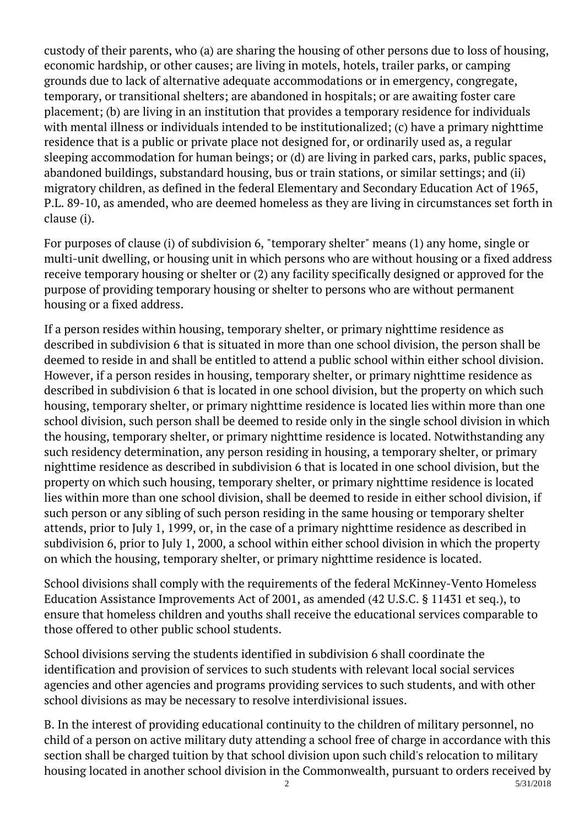custody of their parents, who (a) are sharing the housing of other persons due to loss of housing, economic hardship, or other causes; are living in motels, hotels, trailer parks, or camping grounds due to lack of alternative adequate accommodations or in emergency, congregate, temporary, or transitional shelters; are abandoned in hospitals; or are awaiting foster care placement; (b) are living in an institution that provides a temporary residence for individuals with mental illness or individuals intended to be institutionalized; (c) have a primary nighttime residence that is a public or private place not designed for, or ordinarily used as, a regular sleeping accommodation for human beings; or (d) are living in parked cars, parks, public spaces, abandoned buildings, substandard housing, bus or train stations, or similar settings; and (ii) migratory children, as defined in the federal Elementary and Secondary Education Act of 1965, P.L. 89-10, as amended, who are deemed homeless as they are living in circumstances set forth in clause (i).

For purposes of clause (i) of subdivision 6, "temporary shelter" means (1) any home, single or multi-unit dwelling, or housing unit in which persons who are without housing or a fixed address receive temporary housing or shelter or (2) any facility specifically designed or approved for the purpose of providing temporary housing or shelter to persons who are without permanent housing or a fixed address.

If a person resides within housing, temporary shelter, or primary nighttime residence as described in subdivision 6 that is situated in more than one school division, the person shall be deemed to reside in and shall be entitled to attend a public school within either school division. However, if a person resides in housing, temporary shelter, or primary nighttime residence as described in subdivision 6 that is located in one school division, but the property on which such housing, temporary shelter, or primary nighttime residence is located lies within more than one school division, such person shall be deemed to reside only in the single school division in which the housing, temporary shelter, or primary nighttime residence is located. Notwithstanding any such residency determination, any person residing in housing, a temporary shelter, or primary nighttime residence as described in subdivision 6 that is located in one school division, but the property on which such housing, temporary shelter, or primary nighttime residence is located lies within more than one school division, shall be deemed to reside in either school division, if such person or any sibling of such person residing in the same housing or temporary shelter attends, prior to July 1, 1999, or, in the case of a primary nighttime residence as described in subdivision 6, prior to July 1, 2000, a school within either school division in which the property on which the housing, temporary shelter, or primary nighttime residence is located.

School divisions shall comply with the requirements of the federal McKinney-Vento Homeless Education Assistance Improvements Act of 2001, as amended (42 U.S.C. § 11431 et seq.), to ensure that homeless children and youths shall receive the educational services comparable to those offered to other public school students.

School divisions serving the students identified in subdivision 6 shall coordinate the identification and provision of services to such students with relevant local social services agencies and other agencies and programs providing services to such students, and with other school divisions as may be necessary to resolve interdivisional issues. Ĩ

B. In the interest of providing educational continuity to the children of military personnel, no child of a person on active military duty attending a school free of charge in accordance with this section shall be charged tuition by that school division upon such child's relocation to military housing located in another school division in the Commonwealth, pursuant to orders received by 2 5/31/2018